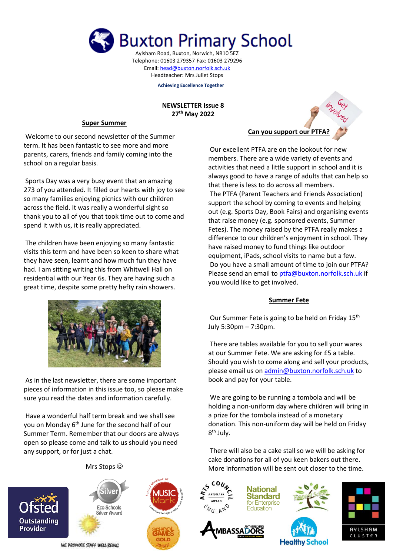

Aylsham Road, Buxton, Norwich, NR10 5EZ Telephone: 01603 279357 Fax: 01603 279296 Email[: head@buxton.norfolk.sch.uk](mailto:head@buxton.norfolk.sch.uk) Headteacher: Mrs Juliet Stops

**Achieving Excellence Together**

### **NEWSLETTER Issue 8 27th May 2022**

#### **Super Summer** I

Welcome to our second newsletter of the Summer term. It has been fantastic to see more and more parents, carers, friends and family coming into the school on a regular basis.

Sports Day was a very busy event that an amazing 273 of you attended. It filled our hearts with joy to see so many families enjoying picnics with our children across the field. It was really a wonderful sight so thank you to all of you that took time out to come and spend it with us, it is really appreciated.

The children have been enjoying so many fantastic visits this term and have been so keen to share what they have seen, learnt and how much fun they have had. I am sitting writing this from Whitwell Hall on residential with our Year 6s. They are having such a great time, despite some pretty hefty rain showers.



As in the last newsletter, there are some important pieces of information in this issue too, so please make sure you read the dates and information carefully.

Have a wonderful half term break and we shall see you on Monday 6<sup>th</sup> June for the second half of our Summer Term. Remember that our doors are always open so please come and talk to us should you need any support, or for just a chat.





Silve

Eco-Schools

Silver Award

WE PROMOTE STAFF WELL BEING





Our excellent PTFA are on the lookout for new members. There are a wide variety of events and activities that need a little support in school and it is always good to have a range of adults that can help so that there is less to do across all members. The PTFA (Parent Teachers and Friends Association) support the school by coming to events and helping out (e.g. Sports Day, Book Fairs) and organising events that raise money (e.g. sponsored events, Summer Fetes). The money raised by the PTFA really makes a difference to our children's enjoyment in school. They have raised money to fund things like outdoor equipment, iPads, school visits to name but a few. Do you have a small amount of time to join our PTFA? Please send an email to [ptfa@buxton.norfolk.sch.uk](mailto:ptfa@buxton.norfolk.sch.uk) if you would like to get involved.

## **Summer Fete**

Our Summer Fete is going to be held on Friday 15<sup>th</sup> July 5:30pm – 7:30pm.

There are tables available for you to sell your wares at our Summer Fete. We are asking for £5 a table. Should you wish to come along and sell your products, please email us o[n admin@buxton.norfolk.sch.uk](mailto:admin@buxton.norfolk.sch.uk) to book and pay for your table.

We are going to be running a tombola and will be holding a non-uniform day where children will bring in a prize for the tombola instead of a monetary donation. This non-uniform day will be held on Friday 8<sup>th</sup> July.

There will also be a cake stall so we will be asking for cake donations for all of you keen bakers out there. More information will be sent out closer to the time.





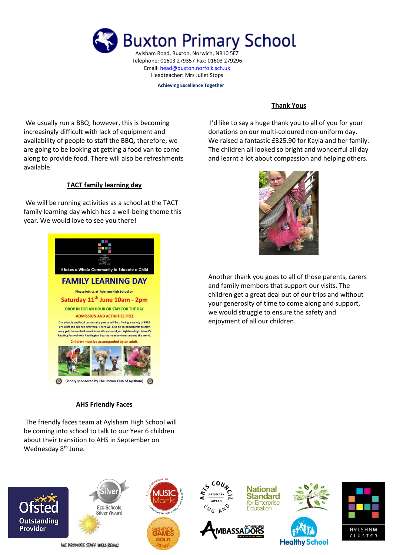

Headteacher: Mrs Juliet Stops

**Achieving Excellence Together**

We usually run a BBQ, however, this is becoming increasingly difficult with lack of equipment and availability of people to staff the BBQ, therefore, we are going to be looking at getting a food van to come along to provide food. There will also be refreshments available.

### **TACT family learning day**

We will be running activities as a school at the TACT family learning day which has a well-being theme this year. We would love to see you there!



# **AHS Friendly Faces**

Wednesday 8<sup>th</sup> June.



I'd like to say a huge thank you to all of you for your donations on our multi-coloured non-uniform day. We raised a fantastic £325.90 for Kayla and her family. The children all looked so bright and wonderful all day and learnt a lot about compassion and helping others.



Another thank you goes to all of those parents, carers and family members that support our visits. The children get a great deal out of our trips and without your generosity of time to come along and support, we would struggle to ensure the safety and enjoyment of all our children.

The friendly faces team at Aylsham High School will be coming into school to talk to our Year 6 children about their transition to AHS in September on